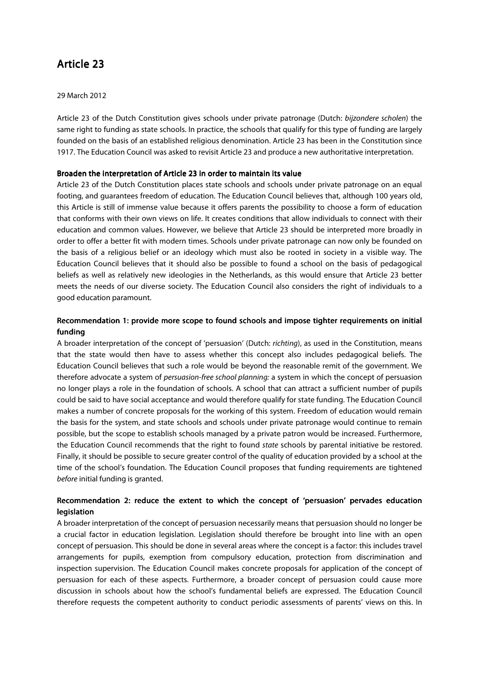# Article 23

### 29 March 2012

Article 23 of the Dutch Constitution gives schools under private patronage (Dutch: bijzondere scholen) the same right to funding as state schools. In practice, the schools that qualify for this type of funding are largely founded on the basis of an established religious denomination. Article 23 has been in the Constitution since 1917. The Education Council was asked to revisit Article 23 and produce a new authoritative interpretation.

### Broaden the interpretation of Article 23 in order to maintain its value

Article 23 of the Dutch Constitution places state schools and schools under private patronage on an equal footing, and guarantees freedom of education. The Education Council believes that, although 100 years old, this Article is still of immense value because it offers parents the possibility to choose a form of education that conforms with their own views on life. It creates conditions that allow individuals to connect with their education and common values. However, we believe that Article 23 should be interpreted more broadly in order to offer a better fit with modern times. Schools under private patronage can now only be founded on the basis of a religious belief or an ideology which must also be rooted in society in a visible way. The Education Council believes that it should also be possible to found a school on the basis of pedagogical beliefs as well as relatively new ideologies in the Netherlands, as this would ensure that Article 23 better meets the needs of our diverse society. The Education Council also considers the right of individuals to a good education paramount.

## Recommendation 1: provide more scope to found schools and impose tighter requirements on initial funding

A broader interpretation of the concept of 'persuasion' (Dutch: richting), as used in the Constitution, means that the state would then have to assess whether this concept also includes pedagogical beliefs. The Education Council believes that such a role would be beyond the reasonable remit of the government. We therefore advocate a system of persuasion-free school planning: a system in which the concept of persuasion no longer plays a role in the foundation of schools. A school that can attract a sufficient number of pupils could be said to have social acceptance and would therefore qualify for state funding. The Education Council makes a number of concrete proposals for the working of this system. Freedom of education would remain the basis for the system, and state schools and schools under private patronage would continue to remain possible, but the scope to establish schools managed by a private patron would be increased. Furthermore, the Education Council recommends that the right to found state schools by parental initiative be restored. Finally, it should be possible to secure greater control of the quality of education provided by a school at the time of the school's foundation. The Education Council proposes that funding requirements are tightened before initial funding is granted.

## Recommendation 2: reduce the extent to which the concept of 'persuasion' pervades education legislation

A broader interpretation of the concept of persuasion necessarily means that persuasion should no longer be a crucial factor in education legislation. Legislation should therefore be brought into line with an open concept of persuasion. This should be done in several areas where the concept is a factor: this includes travel arrangements for pupils, exemption from compulsory education, protection from discrimination and inspection supervision. The Education Council makes concrete proposals for application of the concept of persuasion for each of these aspects. Furthermore, a broader concept of persuasion could cause more discussion in schools about how the school's fundamental beliefs are expressed. The Education Council therefore requests the competent authority to conduct periodic assessments of parents' views on this. In